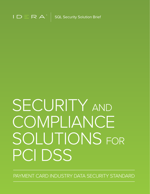

 $\degree$  SQL Security Solution Brief

# SECURITY AND COMPLIANCE SOLUTIONS FOR PCI DSS

PAYMENT CARD INDUSTRY DATA SECURITY STANDARD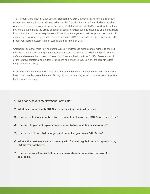The Payment Card Industry Data Security Standard (PCI DSS), currently at version 3.2, is a set of comprehensive requirements developed by the PCI Security Standards Council which includes American Express, Discover Financial Services, JCB International, MasterCard Worldwide and Visa Inc. to help standardize the broad adoption of consistent data security measures on a global basis. In addition, it also includes requirements for security management, policies, procedures, network architecture, software design and other safeguards. PCI DSS is intended to help organizations to proactively secure customer credit card-related (cardholder) data. n a gibbal basis.<br>'

Cardholder data that resides in Microsoft SQL Server database systems must adhere to the PCI DSS requirements. These requirements, in essence, mandate that IT and security professionals example and oversee the proper business disciplines and best practices for SQL Server access in order to prevent internal and external intrusions and enhance SQL Server confidentiality, data integrity and availability. these end up as File System III

In order to define the proper PCI DSS baselines, audit database object/data changes, and report the appropriate data security-related findings to auditors and regulators, you must be able answer the following questions:

- **1. Who has access to my "Payment Card" data?**
- **2. What has changed with SQL Server permissions, logins & access?**
- **3. How do I define a secure baseline and maintain it across my SQL Server enterprise?**
- **4. How can I implement repeatable processes to help maintain my standards?**
- **5. How do I audit permission, object and data changes on my SQL Server?**
- **6. What is the best way for me to comply with Federal regulations with regards to my SQL Server databases?**
- **7. How do I ensure that my PCI data can be rendered unreadable wherever it is backed up?**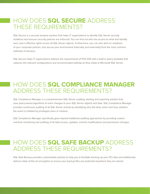# HOW DOES **SQL SECURE** ADDRESS **AUTHOR BIO** THESE REQUIREMENTS?

SQL Secure is a security analysis solution that helps IT organizations to identify SQL Server security violations and ensures security policies are enforced. You can find out who has access to what and identify each user's effective rights across all SQL Server objects. Furthermore, you can also alert on violations of your corporate policies, and secure your environment (internally and externally) from the most common methods of intrusion. Backup security de development organization at Identity of Identity and Identity at Identity and Identity at Identity and Identity at Identity and Identity and Identity and Identity and Identity and Identity and Identity at Identity and I

SQL Secure helps IT organizations address the requirements of PCE DSS with a built-in policy template that captures the relevant configurations and recommended settings as they relate to Microsoft SQL Server. int in policy template that

#### **HOW DOES SQL COMPLIANCE MANAGER** ADDRESS THESE REQUIREMENTS? : MANAGED

SQL Compliance Manager is a comprehensive SQL Server auditing, alerting and reporting solution that uses policy-based algorithms to track changes to your SQL Server objects and data. SQL Compliance Manager provides continuous auditing of all SQL Server activity by identifying who did what, when and how, whether the event is initiated by privileged users or hackers.

SQL Compliance Manager specifically goes beyond traditional auditing approaches by providing custom real-time monitoring and auditing of all data access, updates, schema modifications and permission changes.

# HOW DOES **SQL SAFE BACKUP** ADDRESS ADDRESS THESE REQUIREMENTS?

SQL Safe Backup provides customizable policies to help you to facilitate backing up your PCI data and additionally delivers state-of-the-art encryption to ensure your backup files are protected anywhere they are stored.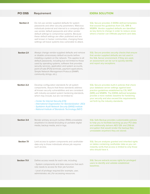| <b>PCI DSS</b>     | <b>Requirement</b>                                                                                                                                                                                                                                                                                                                                                                                                                                                            | <b>IDERA SOLUTION</b>                                                                                                                                                                                                                                                                                                                       |
|--------------------|-------------------------------------------------------------------------------------------------------------------------------------------------------------------------------------------------------------------------------------------------------------------------------------------------------------------------------------------------------------------------------------------------------------------------------------------------------------------------------|---------------------------------------------------------------------------------------------------------------------------------------------------------------------------------------------------------------------------------------------------------------------------------------------------------------------------------------------|
| <b>Section 2</b>   | Do not use vendor supplied defaults for system<br>passwords and other security parameters. Malicious<br>individuals (external and internal to a company) often<br>use vendor default passwords and other vendor<br>default settings to compromise systems. Because<br>these default settings are often published and are<br>well known in hacker communities, changing these<br>settings will leave systems less vulnerable to attack.                                        | SQL Secure provides 3 IDERA defined templates<br>that exceed the guidelines from CIS, SRR &<br>MSBPA. Vendor supplied defaults are identified<br>as key items to change in order to reduce areas<br>where a hacker can infiltrate payment card data.                                                                                        |
| <b>Section 2.1</b> | Always change vendor-supplied defaults and remove<br>or disable unnecessary default accounts before<br>installing a system on the network. This applies to all<br>default passwords, including but not limited to those<br>used by operating systems, software that provides<br>security services, application and system accounts,<br>point-of-sale (POS) terminals, payment applications,<br>Simple Network Management Protocol (SNMP)<br>community strings, etc.).         | SQL Secure provides security checks that ensure<br>that vendor supplied defaults are not used in<br>the SQL Server environment. If they are used,<br>an assessment can be run to quickly identify<br>and report any exceptions.                                                                                                             |
| <b>Section 2.2</b> | Develop configuration standards for all system<br>components. Assure that these standards address<br>all known security vulnerabilities and are consistent<br>with industry-accepted system hardening standards,<br>which may include, but are not limited to:<br>- Center for Internet Security (CIS)<br>- International Organization for Standardization (ISO)<br>- SysAdmin Audit Network Security (SANS) institute<br>- National Institute of Standards Technology (NIST) | SQL Secure provides built-in policies that check<br>your database server settings against best<br>practice guidelines established by CIS, NIST<br>(SRR) and MSBPA. The IDERA defined templates<br>provide a more realistic baseline for hardening<br>your security and also exceed the requirements<br>set forth by the industry standards. |
| <b>Section 3.4</b> | Render primary account number (PAN) unreadable<br>anywhere it is stored (including on portable digital<br>media, backup media, and in logs.                                                                                                                                                                                                                                                                                                                                   | SQL Safe Backup provides customizable policies<br>to help you to facilitate backing up your PCI data<br>and additionally delivers AES 128- and 256-bit<br>encryption that would render the backup files<br>unreadable anywhere they are stored.                                                                                             |
| <b>Section 7.1</b> | Limit access to system components and cardholder<br>data only to those individuals whose job requires<br>such access.                                                                                                                                                                                                                                                                                                                                                         | SQL Secure analyzes granted and inherited rights<br>on tables containing cardholder data so you can<br>instantly verify that access is limited to only those<br>who should have it.                                                                                                                                                         |
| Section 7.1.1      | Define access needs for each role, including:<br>- System components and data resources that each<br>role needs to access for their job function<br>- Level of privilege required (for example, user,<br>administrator, etc.) for accessing resources.                                                                                                                                                                                                                        | SQL Secure extracts access rights for privileged<br>users to identify and validate established<br>baselines.                                                                                                                                                                                                                                |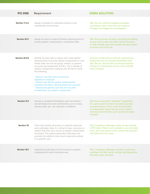| <b>PCI DSS</b>       | <b>Requirement</b>                                                                                                                                                                                                                                                                                                                                                                                                                                                                                                                                 | <b>IDERA SOLUTION</b>                                                                                                                                                                                                                                  |
|----------------------|----------------------------------------------------------------------------------------------------------------------------------------------------------------------------------------------------------------------------------------------------------------------------------------------------------------------------------------------------------------------------------------------------------------------------------------------------------------------------------------------------------------------------------------------------|--------------------------------------------------------------------------------------------------------------------------------------------------------------------------------------------------------------------------------------------------------|
| Section 7.2.2        | Assign privileges to individuals based on job<br>classification and function.                                                                                                                                                                                                                                                                                                                                                                                                                                                                      | SQL Secure confirms assigned privileges<br>according to their roles that are assigned.<br>Changes are flagged for investigation.                                                                                                                       |
| <b>Section 8.1.1</b> | Assign all users a unique ID before allowing them to<br>access system components or cardholder data.                                                                                                                                                                                                                                                                                                                                                                                                                                               | SQL Secure shows all users, including de-nesting<br>groups both locally and within Active Directory,<br>to help identify users that should not have certain<br>accesses, but in fact do.                                                               |
| Section 8.5.8        | Identify all users with a unique user name before<br>allowing them to access system components or card<br>holder data. Do not use group, shared, or generic<br>accounts and passwords. 8.5.8.a - For a sample of<br>system components, examine user ID lists to verify<br>the following:<br>- Generic user IDs and accounts are<br>disabled or removed<br>- Shared user IDs for system administration<br>activities and other critical functions do not exist<br>- Shared and generic user IDs are not used<br>to administer any system components | All users of SQL Server (internal, external and<br>temporary) can be uniquely identifiable with<br>SQL Secure. Should their access/permissions<br>change, an assessment can be run to identify<br>those changes.                                       |
| <b>Section 9.3</b>   | Access is revoked immediately upon termination,<br>and all physical access mechanisms, such as keys,<br>access cards, etc., are returned or disabled.                                                                                                                                                                                                                                                                                                                                                                                              | SQL Secure provides "snapshot" capabilities<br>for a given point in time for all user accesses<br>and permissions. Once a user is terminated<br>an assessment report can be run to confirm<br>and document that the user's access has been<br>revoked. |
| <b>Section 10</b>    | Track and monitor all access to network resources<br>and cardholder data. It is critical to have a process or<br>system that links user access to system components<br>accessed. This system generates audit logs and<br>provides the ability to trace back suspicious activity<br>to a specific user.                                                                                                                                                                                                                                             | SQL Compliance Manager audits all user activity<br>to PCI data. If there is an exception, you can easily<br>track, alert and report on the events that caused it<br>and determine the cause.                                                           |
| <b>Section 10.1</b>  | Implement audit trails to link all access to system<br>components to each individual user.                                                                                                                                                                                                                                                                                                                                                                                                                                                         | SQL Compliance Manager provides continuous<br>auditing of all SQL Server activity, identifying who<br>did what, when and how.                                                                                                                          |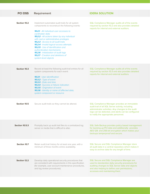#### **PCI DSS** Requirement IDERA SOLUTION **Section 10.2**  Implement automated audit trails for all system

components to reconstruct the following events:

**10.2.1** - All individual user accesses to cardholder data **10.2.2** - All actions taken by any individual with root or administrative privileges **10.2.3** - Access to all audit trails **10.2.4** - Invalid logical access attempts **10.2.5** - Use of identification and authentication mechanisms **10.2.6** - Initialization of audit logs **10.2.7** - Creation and deletions of system-level objects

SQL Compliance Manager audits all of the events required by section 10.2 and also provides detailed reports for internal and external auditors.

| <b>Section 10.3</b>   | Record at least the following audit trail entries for all<br>system components for each event:<br><b>10.3.1</b> - User identification<br>10.3.2 - Type of event<br>10.3.3 - Date and time<br><b>10.3.4</b> - Success or failure indication<br>10.3.5 - Origination of event<br>10.3.6 - Identity or name of affected data,<br>system component or resource | SQL Compliance Manager audits all of the events<br>required by section 10.3 and also provides detailed<br>reports for internal and external auditors.                                                                                                 |
|-----------------------|------------------------------------------------------------------------------------------------------------------------------------------------------------------------------------------------------------------------------------------------------------------------------------------------------------------------------------------------------------|-------------------------------------------------------------------------------------------------------------------------------------------------------------------------------------------------------------------------------------------------------|
| Section 10.5          | Secure audit trails so they cannot be altered.                                                                                                                                                                                                                                                                                                             | SQL Compliance Manager provides an immutable<br>audit trail of all SQL Server activity, including<br>administrator activities. Any changes to the audit<br>logs can be detected, and alerts can be configured<br>to notify the appropriate personnel. |
| <b>Section 10.5.3</b> | Promptly back up audit trail files to a centralized log<br>server or media that is difficult to alter.                                                                                                                                                                                                                                                     | SQL Safe Backup provides policy based management<br>for backing up PCI data and additionally provides<br>AES 128- and 256-bit encryption which makes your<br>backups tamperproof and secure.                                                          |
| Section 10.7          | Retain audit trail history for at least one year, with a<br>minimum of three months online availability.                                                                                                                                                                                                                                                   | SQL Secure and SQL Compliance Manager store<br>all audit data in a central repository which makes it<br>easy to archive data for any length of time.                                                                                                  |
| <b>Section 12.2</b>   | Develop daily operational security procedures that<br>are consistent with requirements in this specification<br>(for example, user account maintenance procedures,<br>and log review procedures).                                                                                                                                                          | SQL Secure and SQL Compliance Manager are<br>used to standardize daily security procedures for<br>auditing changes to SQL Server data and objects<br>and also helping to define user permissions,<br>accesses and maintaining them.                   |